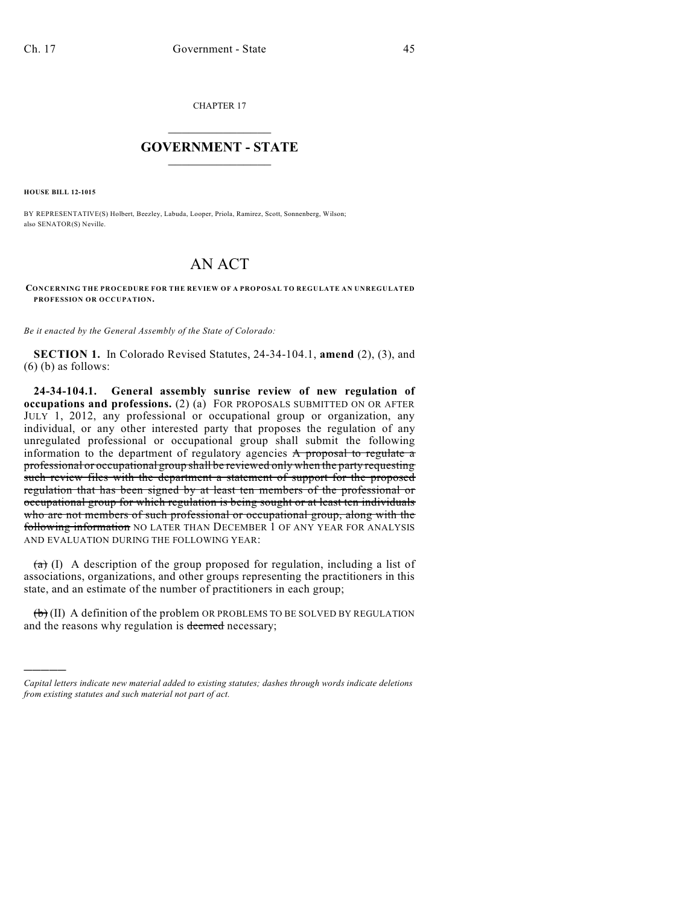CHAPTER 17

## $\overline{\phantom{a}}$  . The set of the set of the set of the set of the set of the set of the set of the set of the set of the set of the set of the set of the set of the set of the set of the set of the set of the set of the set o **GOVERNMENT - STATE**  $\_$

**HOUSE BILL 12-1015**

)))))

BY REPRESENTATIVE(S) Holbert, Beezley, Labuda, Looper, Priola, Ramirez, Scott, Sonnenberg, Wilson; also SENATOR(S) Neville.

## AN ACT

**CONCERNING THE PROCEDURE FOR THE REVIEW OF A PROPOSAL TO REGULATE AN UNREGULATED PROFESSION OR OCCUPATION.**

*Be it enacted by the General Assembly of the State of Colorado:*

**SECTION 1.** In Colorado Revised Statutes, 24-34-104.1, **amend** (2), (3), and (6) (b) as follows:

**24-34-104.1. General assembly sunrise review of new regulation of occupations and professions.** (2) (a) FOR PROPOSALS SUBMITTED ON OR AFTER JULY 1, 2012, any professional or occupational group or organization, any individual, or any other interested party that proposes the regulation of any unregulated professional or occupational group shall submit the following information to the department of regulatory agencies A proposal to regulate a professional or occupational group shall be reviewed only when the party requesting such review files with the department a statement of support for the proposed regulation that has been signed by at least ten members of the professional or occupational group for which regulation is being sought or at least ten individuals who are not members of such professional or occupational group, along with the following information NO LATER THAN DECEMBER 1 OF ANY YEAR FOR ANALYSIS AND EVALUATION DURING THE FOLLOWING YEAR:

 $(a)$  (I) A description of the group proposed for regulation, including a list of associations, organizations, and other groups representing the practitioners in this state, and an estimate of the number of practitioners in each group;

 $(\theta)$  (II) A definition of the problem OR PROBLEMS TO BE SOLVED BY REGULATION and the reasons why regulation is deemed necessary;

*Capital letters indicate new material added to existing statutes; dashes through words indicate deletions from existing statutes and such material not part of act.*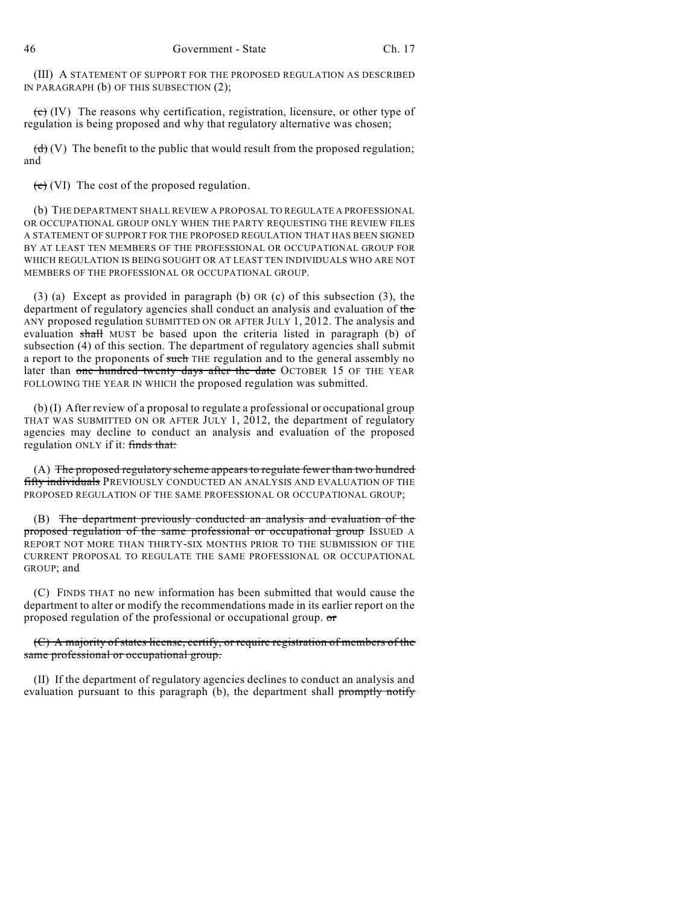(III) A STATEMENT OF SUPPORT FOR THE PROPOSED REGULATION AS DESCRIBED IN PARAGRAPH (b) OF THIS SUBSECTION (2);

 $\left(\mathbf{c}\right)$  (IV) The reasons why certification, registration, licensure, or other type of regulation is being proposed and why that regulatory alternative was chosen;

 $(d)$  (V) The benefit to the public that would result from the proposed regulation; and

 $(e)$  (VI) The cost of the proposed regulation.

(b) THE DEPARTMENT SHALL REVIEW A PROPOSAL TO REGULATE A PROFESSIONAL OR OCCUPATIONAL GROUP ONLY WHEN THE PARTY REQUESTING THE REVIEW FILES A STATEMENT OF SUPPORT FOR THE PROPOSED REGULATION THAT HAS BEEN SIGNED BY AT LEAST TEN MEMBERS OF THE PROFESSIONAL OR OCCUPATIONAL GROUP FOR WHICH REGULATION IS BEING SOUGHT OR AT LEAST TEN INDIVIDUALS WHO ARE NOT MEMBERS OF THE PROFESSIONAL OR OCCUPATIONAL GROUP.

(3) (a) Except as provided in paragraph (b) OR (c) of this subsection (3), the department of regulatory agencies shall conduct an analysis and evaluation of the ANY proposed regulation SUBMITTED ON OR AFTER JULY 1, 2012. The analysis and evaluation shall MUST be based upon the criteria listed in paragraph (b) of subsection (4) of this section. The department of regulatory agencies shall submit a report to the proponents of such THE regulation and to the general assembly no later than one hundred twenty days after the date OCTOBER 15 OF THE YEAR FOLLOWING THE YEAR IN WHICH the proposed regulation was submitted.

(b) (I) After review of a proposal to regulate a professional or occupational group THAT WAS SUBMITTED ON OR AFTER JULY 1, 2012, the department of regulatory agencies may decline to conduct an analysis and evaluation of the proposed regulation ONLY if it: finds that:

(A) The proposed regulatory scheme appears to regulate fewer than two hundred fifty individuals PREVIOUSLY CONDUCTED AN ANALYSIS AND EVALUATION OF THE PROPOSED REGULATION OF THE SAME PROFESSIONAL OR OCCUPATIONAL GROUP;

(B) The department previously conducted an analysis and evaluation of the proposed regulation of the same professional or occupational group ISSUED A REPORT NOT MORE THAN THIRTY-SIX MONTHS PRIOR TO THE SUBMISSION OF THE CURRENT PROPOSAL TO REGULATE THE SAME PROFESSIONAL OR OCCUPATIONAL GROUP; and

(C) FINDS THAT no new information has been submitted that would cause the department to alter or modify the recommendations made in its earlier report on the proposed regulation of the professional or occupational group. or

(C) A majority of states license, certify, or require registration of members of the same professional or occupational group.

(II) If the department of regulatory agencies declines to conduct an analysis and evaluation pursuant to this paragraph (b), the department shall promptly notify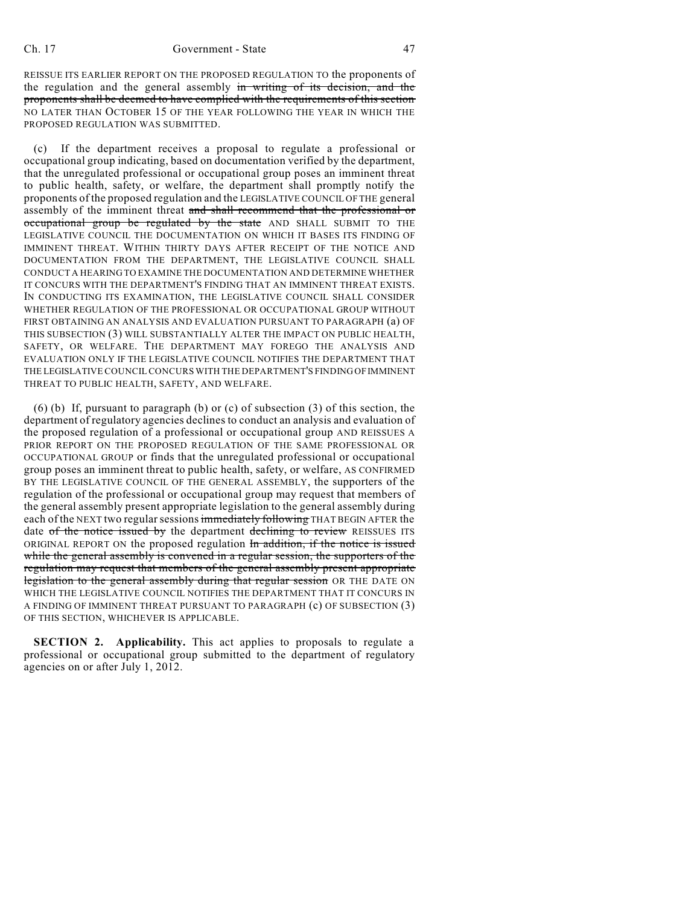REISSUE ITS EARLIER REPORT ON THE PROPOSED REGULATION TO the proponents of the regulation and the general assembly in writing of its decision, and the proponents shall be deemed to have complied with the requirements of this section NO LATER THAN OCTOBER 15 OF THE YEAR FOLLOWING THE YEAR IN WHICH THE PROPOSED REGULATION WAS SUBMITTED.

(c) If the department receives a proposal to regulate a professional or occupational group indicating, based on documentation verified by the department, that the unregulated professional or occupational group poses an imminent threat to public health, safety, or welfare, the department shall promptly notify the proponents of the proposed regulation and the LEGISLATIVE COUNCIL OF THE general assembly of the imminent threat and shall recommend that the professional or occupational group be regulated by the state AND SHALL SUBMIT TO THE LEGISLATIVE COUNCIL THE DOCUMENTATION ON WHICH IT BASES ITS FINDING OF IMMINENT THREAT. WITHIN THIRTY DAYS AFTER RECEIPT OF THE NOTICE AND DOCUMENTATION FROM THE DEPARTMENT, THE LEGISLATIVE COUNCIL SHALL CONDUCT A HEARING TO EXAMINE THE DOCUMENTATION AND DETERMINE WHETHER IT CONCURS WITH THE DEPARTMENT'S FINDING THAT AN IMMINENT THREAT EXISTS. IN CONDUCTING ITS EXAMINATION, THE LEGISLATIVE COUNCIL SHALL CONSIDER WHETHER REGULATION OF THE PROFESSIONAL OR OCCUPATIONAL GROUP WITHOUT FIRST OBTAINING AN ANALYSIS AND EVALUATION PURSUANT TO PARAGRAPH (a) OF THIS SUBSECTION (3) WILL SUBSTANTIALLY ALTER THE IMPACT ON PUBLIC HEALTH, SAFETY, OR WELFARE. THE DEPARTMENT MAY FOREGO THE ANALYSIS AND EVALUATION ONLY IF THE LEGISLATIVE COUNCIL NOTIFIES THE DEPARTMENT THAT THE LEGISLATIVE COUNCIL CONCURS WITH THE DEPARTMENT'S FINDINGOFIMMINENT THREAT TO PUBLIC HEALTH, SAFETY, AND WELFARE.

(6) (b) If, pursuant to paragraph (b) or (c) of subsection (3) of this section, the department of regulatory agencies declines to conduct an analysis and evaluation of the proposed regulation of a professional or occupational group AND REISSUES A PRIOR REPORT ON THE PROPOSED REGULATION OF THE SAME PROFESSIONAL OR OCCUPATIONAL GROUP or finds that the unregulated professional or occupational group poses an imminent threat to public health, safety, or welfare, AS CONFIRMED BY THE LEGISLATIVE COUNCIL OF THE GENERAL ASSEMBLY, the supporters of the regulation of the professional or occupational group may request that members of the general assembly present appropriate legislation to the general assembly during each of the NEXT two regular sessions immediately following THAT BEGIN AFTER the date of the notice issued by the department declining to review REISSUES ITS ORIGINAL REPORT ON the proposed regulation In addition, if the notice is issued while the general assembly is convened in a regular session, the supporters of the regulation may request that members of the general assembly present appropriate legislation to the general assembly during that regular session OR THE DATE ON WHICH THE LEGISLATIVE COUNCIL NOTIFIES THE DEPARTMENT THAT IT CONCURS IN A FINDING OF IMMINENT THREAT PURSUANT TO PARAGRAPH (c) OF SUBSECTION (3) OF THIS SECTION, WHICHEVER IS APPLICABLE.

**SECTION 2. Applicability.** This act applies to proposals to regulate a professional or occupational group submitted to the department of regulatory agencies on or after July 1, 2012.